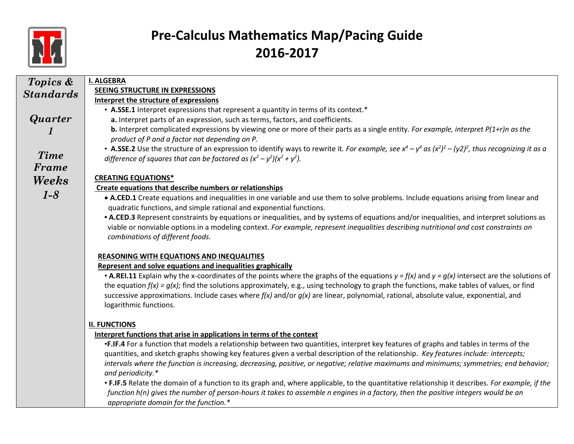

| Topics &         | <b>I. ALGEBRA</b>                                                                                                                                           |
|------------------|-------------------------------------------------------------------------------------------------------------------------------------------------------------|
| <b>Standards</b> | <b>SEEING STRUCTURE IN EXPRESSIONS</b>                                                                                                                      |
|                  | Interpret the structure of expressions                                                                                                                      |
|                  | • A.SSE.1 Interpret expressions that represent a quantity in terms of its context.*                                                                         |
| <b>Quarter</b>   | a. Interpret parts of an expression, such as terms, factors, and coefficients.                                                                              |
|                  | <b>b.</b> Interpret complicated expressions by viewing one or more of their parts as a single entity. For example, interpret $P(1+r)$ as the                |
|                  | product of P and a factor not depending on P.                                                                                                               |
|                  | • A.SSE.2 Use the structure of an expression to identify ways to rewrite it. For example, see $x^4 - y^4$ as $(x^2)^2 - (y^2)^2$ , thus recognizing it as a |
| <b>Time</b>      | difference of squares that can be factored as $(x^2 - y^2)(x^2 + y^2)$ .                                                                                    |
| Frame            |                                                                                                                                                             |
| Weeks            | <b>CREATING EQUATIONS*</b>                                                                                                                                  |
|                  | Create equations that describe numbers or relationships                                                                                                     |
| $1-8$            | • A.CED.1 Create equations and inequalities in one variable and use them to solve problems. Include equations arising from linear and                       |
|                  | quadratic functions, and simple rational and exponential functions.                                                                                         |
|                  | • A.CED.3 Represent constraints by equations or inequalities, and by systems of equations and/or inequalities, and interpret solutions as                   |
|                  | viable or nonviable options in a modeling context. For example, represent inequalities describing nutritional and cost constraints on                       |
|                  | combinations of different foods.                                                                                                                            |
|                  |                                                                                                                                                             |
|                  | <b>REASONING WITH EQUATIONS AND INEQUALITIES</b>                                                                                                            |
|                  | Represent and solve equations and inequalities graphically                                                                                                  |
|                  | • A.REI.11 Explain why the x-coordinates of the points where the graphs of the equations $y = f(x)$ and $y = g(x)$ intersect are the solutions of           |
|                  | the equation $f(x) = g(x)$ ; find the solutions approximately, e.g., using technology to graph the functions, make tables of values, or find                |
|                  | successive approximations. Include cases where $f(x)$ and/or $g(x)$ are linear, polynomial, rational, absolute value, exponential, and                      |
|                  | logarithmic functions.                                                                                                                                      |
|                  |                                                                                                                                                             |
|                  | <b>II. FUNCTIONS</b>                                                                                                                                        |
|                  | Interpret functions that arise in applications in terms of the context                                                                                      |
|                  | .F.IF.4 For a function that models a relationship between two quantities, interpret key features of graphs and tables in terms of the                       |
|                  | quantities, and sketch graphs showing key features given a verbal description of the relationship. Key features include: intercepts;                        |
|                  | intervals where the function is increasing, decreasing, positive, or negative; relative maximums and minimums; symmetries; end behavior;                    |
|                  | and periodicity.*                                                                                                                                           |
|                  | . F.IF.5 Relate the domain of a function to its graph and, where applicable, to the quantitative relationship it describes. For example, if the             |
|                  | function h(n) gives the number of person-hours it takes to assemble n engines in a factory, then the positive integers would be an                          |
|                  | appropriate domain for the function.*                                                                                                                       |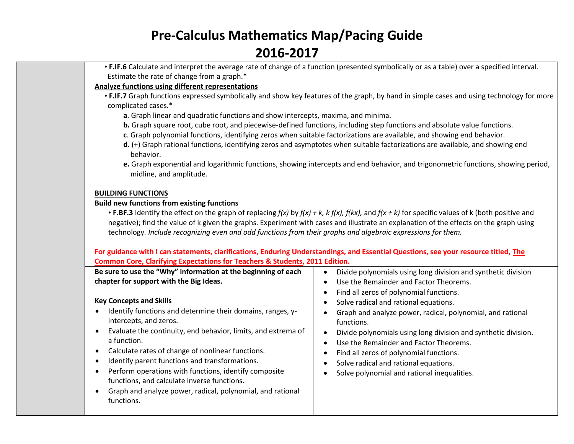• **F.IF.6** Calculate and interpret the average rate of change of a function (presented symbolically or as a table) over a specified interval. Estimate the rate of change from a graph.\*

#### **Analyze functions using different representations**

- **F.IF.7** Graph functions expressed symbolically and show key features of the graph, by hand in simple cases and using technology for more complicated cases.\*
	- **a**. Graph linear and quadratic functions and show intercepts, maxima, and minima.
	- **b.** Graph square root, cube root, and piecewise-defined functions, including step functions and absolute value functions.
	- **c**. Graph polynomial functions, identifying zeros when suitable factorizations are available, and showing end behavior.
	- **d.** (+) Graph rational functions, identifying zeros and asymptotes when suitable factorizations are available, and showing end behavior.
	- **e.** Graph exponential and logarithmic functions, showing intercepts and end behavior, and trigonometric functions, showing period, midline, and amplitude.

#### **BUILDING FUNCTIONS**

#### **Build new functions from existing functions**

• **F.BF.3** Identify the effect on the graph of replacing *f(x)* by *f(x) + k, k f(x), f(kx),* and *f(x + k)* for specific values of k (both positive and negative); find the value of k given the graphs. Experiment with cases and illustrate an explanation of the effects on the graph using technology*. Include recognizing even and odd functions from their graphs and algebraic expressions for them.*

| For guidance with I can statements, clarifications, Enduring Understandings, and Essential Questions, see your resource titled, The |  |
|-------------------------------------------------------------------------------------------------------------------------------------|--|
| <b>Common Core, Clarifying Expectations for Teachers &amp; Students, 2011 Edition.</b>                                              |  |

| Be sure to use the "Why" information at the beginning of each<br>chapter for support with the Big Ideas.<br><b>Key Concepts and Skills</b><br>Identify functions and determine their domains, ranges, y-<br>intercepts, and zeros.<br>Evaluate the continuity, end behavior, limits, and extrema of<br>a function.<br>Calculate rates of change of nonlinear functions.<br>Identify parent functions and transformations.<br>Perform operations with functions, identify composite<br>functions, and calculate inverse functions.<br>Graph and analyze power, radical, polynomial, and rational<br>functions. | Divide polynomials using long division and synthetic division<br>Use the Remainder and Factor Theorems.<br>Find all zeros of polynomial functions.<br>Solve radical and rational equations.<br>Graph and analyze power, radical, polynomial, and rational<br>functions.<br>Divide polynomials using long division and synthetic division.<br>Use the Remainder and Factor Theorems.<br>Find all zeros of polynomial functions.<br>Solve radical and rational equations.<br>Solve polynomial and rational inequalities. |
|---------------------------------------------------------------------------------------------------------------------------------------------------------------------------------------------------------------------------------------------------------------------------------------------------------------------------------------------------------------------------------------------------------------------------------------------------------------------------------------------------------------------------------------------------------------------------------------------------------------|------------------------------------------------------------------------------------------------------------------------------------------------------------------------------------------------------------------------------------------------------------------------------------------------------------------------------------------------------------------------------------------------------------------------------------------------------------------------------------------------------------------------|
|---------------------------------------------------------------------------------------------------------------------------------------------------------------------------------------------------------------------------------------------------------------------------------------------------------------------------------------------------------------------------------------------------------------------------------------------------------------------------------------------------------------------------------------------------------------------------------------------------------------|------------------------------------------------------------------------------------------------------------------------------------------------------------------------------------------------------------------------------------------------------------------------------------------------------------------------------------------------------------------------------------------------------------------------------------------------------------------------------------------------------------------------|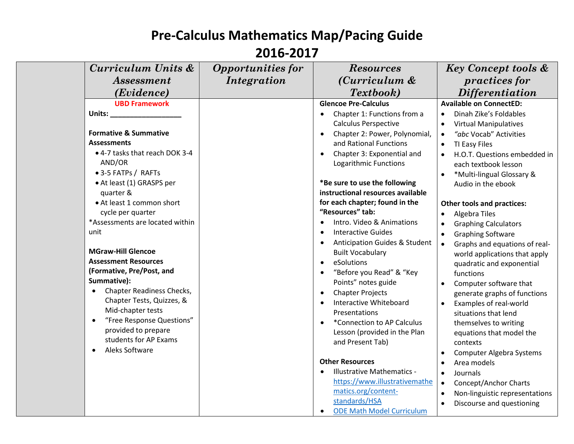### **2016-2017**

| Curriculum Units &                     | <b>Opportunities for</b> | <b>Resources</b>                         | <b>Key Concept tools &amp;</b>              |
|----------------------------------------|--------------------------|------------------------------------------|---------------------------------------------|
| <b>Assessment</b>                      | Integration              | (Curriculum &                            | practices for                               |
| (Evidence)                             |                          | Textbook)                                | <i>Differentiation</i>                      |
| <b>UBD Framework</b>                   |                          | <b>Glencoe Pre-Calculus</b>              | <b>Available on ConnectED:</b>              |
| Units:                                 |                          | Chapter 1: Functions from a              | Dinah Zike's Foldables                      |
|                                        |                          | <b>Calculus Perspective</b>              | <b>Virtual Manipulatives</b><br>$\bullet$   |
| <b>Formative &amp; Summative</b>       |                          | Chapter 2: Power, Polynomial,            | "abc Vocab" Activities<br>$\bullet$         |
| <b>Assessments</b>                     |                          | and Rational Functions                   | TI Easy Files<br>$\bullet$                  |
| • 4-7 tasks that reach DOK 3-4         |                          | Chapter 3: Exponential and<br>$\bullet$  | H.O.T. Questions embedded in<br>$\bullet$   |
| AND/OR                                 |                          | Logarithmic Functions                    | each textbook lesson                        |
| • 3-5 FATPs / RAFTs                    |                          |                                          | *Multi-lingual Glossary &                   |
| • At least (1) GRASPS per              |                          | *Be sure to use the following            | Audio in the ebook                          |
| quarter &                              |                          | instructional resources available        |                                             |
| • At least 1 common short              |                          | for each chapter; found in the           | <b>Other tools and practices:</b>           |
| cycle per quarter                      |                          | "Resources" tab:                         | Algebra Tiles<br>$\bullet$                  |
| *Assessments are located within        |                          | Intro. Video & Animations<br>$\bullet$   | <b>Graphing Calculators</b>                 |
| unit                                   |                          | <b>Interactive Guides</b><br>$\bullet$   | <b>Graphing Software</b><br>$\bullet$       |
| <b>MGraw-Hill Glencoe</b>              |                          | <b>Anticipation Guides &amp; Student</b> | Graphs and equations of real-<br>$\bullet$  |
| <b>Assessment Resources</b>            |                          | <b>Built Vocabulary</b>                  | world applications that apply               |
| (Formative, Pre/Post, and              |                          | eSolutions<br>$\bullet$                  | quadratic and exponential                   |
| Summative):                            |                          | "Before you Read" & "Key                 | functions                                   |
| <b>Chapter Readiness Checks,</b>       |                          | Points" notes guide                      | Computer software that<br>$\bullet$         |
| Chapter Tests, Quizzes, &              |                          | <b>Chapter Projects</b><br>$\bullet$     | generate graphs of functions                |
| Mid-chapter tests                      |                          | Interactive Whiteboard<br>$\bullet$      | Examples of real-world<br>$\bullet$         |
| "Free Response Questions"<br>$\bullet$ |                          | Presentations                            | situations that lend                        |
| provided to prepare                    |                          | *Connection to AP Calculus               | themselves to writing                       |
| students for AP Exams                  |                          | Lesson (provided in the Plan             | equations that model the                    |
| Aleks Software<br>$\bullet$            |                          | and Present Tab)                         | contexts                                    |
|                                        |                          | <b>Other Resources</b>                   | <b>Computer Algebra Systems</b>             |
|                                        |                          | <b>Illustrative Mathematics -</b>        | Area models                                 |
|                                        |                          | https://www.illustrativemathe            | Journals<br>$\bullet$                       |
|                                        |                          | matics.org/content-                      | Concept/Anchor Charts<br>$\bullet$          |
|                                        |                          | standards/HSA                            | Non-linguistic representations<br>$\bullet$ |
|                                        |                          | <b>ODE Math Model Curriculum</b>         | Discourse and questioning<br>$\bullet$      |
|                                        |                          |                                          |                                             |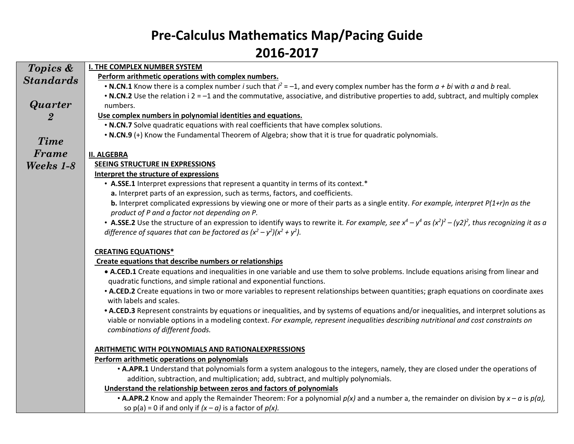| Topics &         | <b>I. THE COMPLEX NUMBER SYSTEM</b>                                                                                                                                            |  |  |  |  |
|------------------|--------------------------------------------------------------------------------------------------------------------------------------------------------------------------------|--|--|--|--|
| <b>Standards</b> | Perform arithmetic operations with complex numbers.                                                                                                                            |  |  |  |  |
|                  | • N.CN.1 Know there is a complex number <i>i</i> such that $i^2 = -1$ , and every complex number has the form $a + bi$ with $a$ and $b$ real.                                  |  |  |  |  |
|                  | • N.CN.2 Use the relation i 2 = -1 and the commutative, associative, and distributive properties to add, subtract, and multiply complex                                        |  |  |  |  |
| <b>Quarter</b>   | numbers.                                                                                                                                                                       |  |  |  |  |
| $\overline{2}$   | Use complex numbers in polynomial identities and equations.                                                                                                                    |  |  |  |  |
|                  | . N.CN.7 Solve quadratic equations with real coefficients that have complex solutions.                                                                                         |  |  |  |  |
| <b>Time</b>      | • N.CN.9 (+) Know the Fundamental Theorem of Algebra; show that it is true for quadratic polynomials.                                                                          |  |  |  |  |
|                  |                                                                                                                                                                                |  |  |  |  |
| Frame            | <b>II. ALGEBRA</b>                                                                                                                                                             |  |  |  |  |
| Weeks 1-8        | <b>SEEING STRUCTURE IN EXPRESSIONS</b>                                                                                                                                         |  |  |  |  |
|                  | Interpret the structure of expressions                                                                                                                                         |  |  |  |  |
|                  | • A.SSE.1 Interpret expressions that represent a quantity in terms of its context.*                                                                                            |  |  |  |  |
|                  | a. Interpret parts of an expression, such as terms, factors, and coefficients.                                                                                                 |  |  |  |  |
|                  | <b>b.</b> Interpret complicated expressions by viewing one or more of their parts as a single entity. For example, interpret $P(1+r)$ as the                                   |  |  |  |  |
|                  | product of P and a factor not depending on P.                                                                                                                                  |  |  |  |  |
|                  | • A.SSE.2 Use the structure of an expression to identify ways to rewrite it. For example, see $x^4 - y^4$ as $(x^2)^2 - (y^2)^2$ , thus recognizing it as a                    |  |  |  |  |
|                  | difference of squares that can be factored as $(x^2 - y^2)(x^2 + y^2)$ .                                                                                                       |  |  |  |  |
|                  | <b>CREATING EQUATIONS*</b>                                                                                                                                                     |  |  |  |  |
|                  | Create equations that describe numbers or relationships                                                                                                                        |  |  |  |  |
|                  | • A.CED.1 Create equations and inequalities in one variable and use them to solve problems. Include equations arising from linear and                                          |  |  |  |  |
|                  | quadratic functions, and simple rational and exponential functions.                                                                                                            |  |  |  |  |
|                  | . A.CED.2 Create equations in two or more variables to represent relationships between quantities; graph equations on coordinate axes                                          |  |  |  |  |
|                  | with labels and scales.                                                                                                                                                        |  |  |  |  |
|                  | • A.CED.3 Represent constraints by equations or inequalities, and by systems of equations and/or inequalities, and interpret solutions as                                      |  |  |  |  |
|                  | viable or nonviable options in a modeling context. For example, represent inequalities describing nutritional and cost constraints on                                          |  |  |  |  |
|                  | combinations of different foods.                                                                                                                                               |  |  |  |  |
|                  |                                                                                                                                                                                |  |  |  |  |
|                  | ARITHMETIC WITH POLYNOMIALS AND RATIONALEXPRESSIONS                                                                                                                            |  |  |  |  |
|                  | Perform arithmetic operations on polynomials<br>• A.APR.1 Understand that polynomials form a system analogous to the integers, namely, they are closed under the operations of |  |  |  |  |
|                  | addition, subtraction, and multiplication; add, subtract, and multiply polynomials.                                                                                            |  |  |  |  |
|                  | Understand the relationship between zeros and factors of polynomials                                                                                                           |  |  |  |  |
|                  | • A.APR.2 Know and apply the Remainder Theorem: For a polynomial $p(x)$ and a number a, the remainder on division by $x - a$ is $p(a)$ ,                                       |  |  |  |  |
|                  |                                                                                                                                                                                |  |  |  |  |

so  $p(a) = 0$  if and only if  $(x - a)$  is a factor of  $p(x)$ .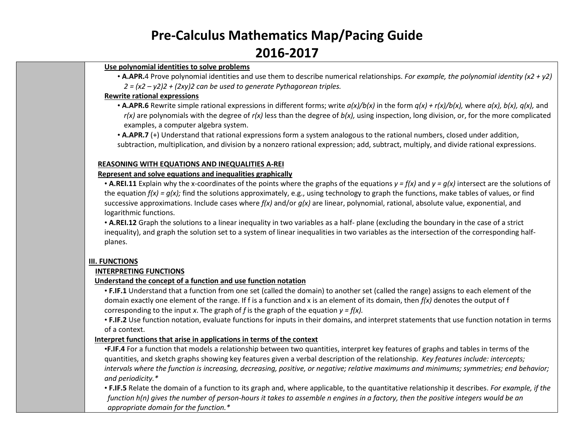#### **Use polynomial identities to solve problems**

• **A.APR.**4 Prove polynomial identities and use them to describe numerical relationships. *For example, the polynomial identity (x2 + y2) 2 = (x2 – y2)2 + (2xy)2 can be used to generate Pythagorean triples.*

#### **Rewrite rational expressions**

• **A.APR.6** Rewrite simple rational expressions in different forms; write *a(x)/b(x)* in the form *q(x) + r(x)/b(x),* where *a(x), b(x), q(x),* and *r(x)* are polynomials with the degree of *r(x)* less than the degree of *b(x),* using inspection, long division, or, for the more complicated examples, a computer algebra system.

• **A.APR.7** (+) Understand that rational expressions form a system analogous to the rational numbers, closed under addition, subtraction, multiplication, and division by a nonzero rational expression; add, subtract, multiply, and divide rational expressions.

#### **REASONING WITH EQUATIONS AND INEQUALITIES A-REI**

#### **Represent and solve equations and inequalities graphically**

• **A.REI.11** Explain why the x-coordinates of the points where the graphs of the equations *y = f(x)* and *y = g(x)* intersect are the solutions of the equation  $f(x) = g(x)$ ; find the solutions approximately, e.g., using technology to graph the functions, make tables of values, or find successive approximations. Include cases where *f(x)* and/or *g(x)* are linear, polynomial, rational, absolute value, exponential, and logarithmic functions.

• **A.REI.12** Graph the solutions to a linear inequality in two variables as a half- plane (excluding the boundary in the case of a strict inequality), and graph the solution set to a system of linear inequalities in two variables as the intersection of the corresponding halfplanes.

#### **III. FUNCTIONS**

#### **INTERPRETING FUNCTIONS**

#### **Understand the concept of a function and use function notation**

• **F.IF.1** Understand that a function from one set (called the domain) to another set (called the range) assigns to each element of the domain exactly one element of the range. If f is a function and x is an element of its domain, then *f(x)* denotes the output of f corresponding to the input *x*. The graph of *f* is the graph of the equation  $y = f(x)$ .

• **F.IF.2** Use function notation, evaluate functions for inputs in their domains, and interpret statements that use function notation in terms of a context.

#### **Interpret functions that arise in applications in terms of the context**

•**F.IF.4** For a function that models a relationship between two quantities, interpret key features of graphs and tables in terms of the quantities, and sketch graphs showing key features given a verbal description of the relationship. *Key features include: intercepts; intervals where the function is increasing, decreasing, positive, or negative; relative maximums and minimums; symmetries; end behavior; and periodicity.\**

• **F.IF.5** Relate the domain of a function to its graph and, where applicable, to the quantitative relationship it describes. *For example, if the function h(n) gives the number of person-hours it takes to assemble n engines in a factory, then the positive integers would be an appropriate domain for the function.\**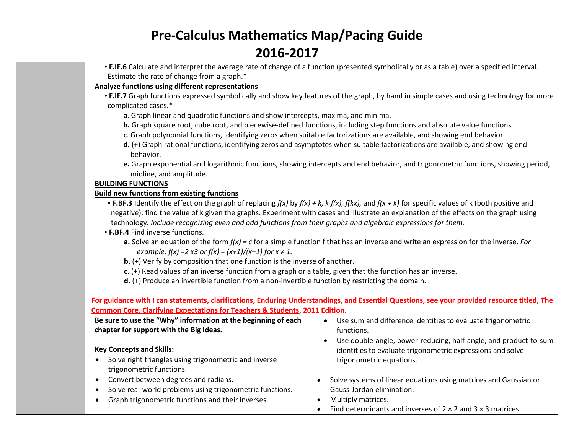• **F.IF.6** Calculate and interpret the average rate of change of a function (presented symbolically or as a table) over a specified interval. Estimate the rate of change from a graph.\*

#### **Analyze functions using different representations**

- **F.IF.7** Graph functions expressed symbolically and show key features of the graph, by hand in simple cases and using technology for more complicated cases.\*
	- **a**. Graph linear and quadratic functions and show intercepts, maxima, and minima.
	- **b.** Graph square root, cube root, and piecewise-defined functions, including step functions and absolute value functions.
	- **c**. Graph polynomial functions, identifying zeros when suitable factorizations are available, and showing end behavior.
	- **d.** (+) Graph rational functions, identifying zeros and asymptotes when suitable factorizations are available, and showing end behavior.
	- **e.** Graph exponential and logarithmic functions, showing intercepts and end behavior, and trigonometric functions, showing period, midline, and amplitude.

#### **BUILDING FUNCTIONS**

#### **Build new functions from existing functions**

• **F.BF.3** Identify the effect on the graph of replacing *f(x)* by *f(x) + k, k f(x), f(kx),* and *f(x + k)* for specific values of k (both positive and negative); find the value of k given the graphs. Experiment with cases and illustrate an explanation of the effects on the graph using technology*. Include recognizing even and odd functions from their graphs and algebraic expressions for them.*

#### • **F.BF.4** Find inverse functions.

- **a.** Solve an equation of the form *f(x) = c* for a simple function f that has an inverse and write an expression for the inverse. *For example, f(x) =2 x3 or f(x) = (x+1)/(x-1) for x*  $\neq$  *1.*
- **b.** (+) Verify by composition that one function is the inverse of another.
- **c.** (+) Read values of an inverse function from a graph or a table, given that the function has an inverse.
- **d.** (+) Produce an invertible function from a non-invertible function by restricting the domain.

**For guidance with I can statements, clarifications, Enduring Understandings, and Essential Questions, see your provided resource titled, The Common Core, Clarifying Expectations for Teachers & Students, 2011 Edition.** 

| Be sure to use the "Why" information at the beginning of each<br>chapter for support with the Big Ideas.                                              | Use sum and difference identities to evaluate trigonometric<br>$\bullet$<br>functions.                                                                                                           |
|-------------------------------------------------------------------------------------------------------------------------------------------------------|--------------------------------------------------------------------------------------------------------------------------------------------------------------------------------------------------|
| <b>Key Concepts and Skills:</b><br>Solve right triangles using trigonometric and inverse<br>trigonometric functions.                                  | Use double-angle, power-reducing, half-angle, and product-to-sum<br>$\bullet$<br>identities to evaluate trigonometric expressions and solve<br>trigonometric equations.                          |
| Convert between degrees and radians.<br>Solve real-world problems using trigonometric functions.<br>Graph trigonometric functions and their inverses. | Solve systems of linear equations using matrices and Gaussian or<br>Gauss-Jordan elimination.<br>Multiply matrices.<br>Find determinants and inverses of $2 \times 2$ and $3 \times 3$ matrices. |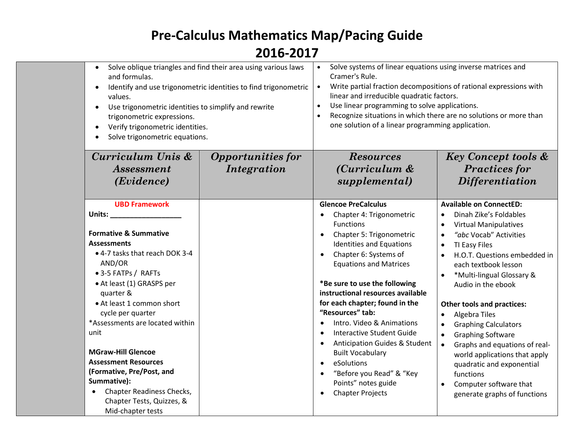| Solve oblique triangles and find their area using various laws<br>$\bullet$<br>and formulas.<br>Identify and use trigonometric identities to find trigonometric<br>$\bullet$<br>values.<br>Use trigonometric identities to simplify and rewrite<br>$\bullet$<br>trigonometric expressions.<br>Verify trigonometric identities.<br>٠<br>Solve trigonometric equations.                                                                                                       |                                                | Solve systems of linear equations using inverse matrices and<br>$\bullet$<br>Cramer's Rule.<br>Write partial fraction decompositions of rational expressions with<br>$\bullet$<br>linear and irreducible quadratic factors.<br>Use linear programming to solve applications.<br>$\bullet$<br>Recognize situations in which there are no solutions or more than<br>$\bullet$<br>one solution of a linear programming application.                                                                                      |                                                                                                                                                                                                                                                                                                                                                                                                                                                                                                      |  |
|-----------------------------------------------------------------------------------------------------------------------------------------------------------------------------------------------------------------------------------------------------------------------------------------------------------------------------------------------------------------------------------------------------------------------------------------------------------------------------|------------------------------------------------|-----------------------------------------------------------------------------------------------------------------------------------------------------------------------------------------------------------------------------------------------------------------------------------------------------------------------------------------------------------------------------------------------------------------------------------------------------------------------------------------------------------------------|------------------------------------------------------------------------------------------------------------------------------------------------------------------------------------------------------------------------------------------------------------------------------------------------------------------------------------------------------------------------------------------------------------------------------------------------------------------------------------------------------|--|
| Curriculum Unis &<br><i>Assessment</i><br>( <i>Evidence</i> )                                                                                                                                                                                                                                                                                                                                                                                                               | <b>Opportunities for</b><br><i>Integration</i> | <b>Resources</b><br>(Curriculum &<br>supplemental)                                                                                                                                                                                                                                                                                                                                                                                                                                                                    | <b>Key Concept tools &amp;</b><br><b>Practices for</b><br><i>Differentiation</i>                                                                                                                                                                                                                                                                                                                                                                                                                     |  |
| <b>UBD Framework</b><br>Units:                                                                                                                                                                                                                                                                                                                                                                                                                                              |                                                | <b>Glencoe PreCalculus</b><br>Chapter 4: Trigonometric<br>$\bullet$<br><b>Functions</b>                                                                                                                                                                                                                                                                                                                                                                                                                               | <b>Available on ConnectED:</b><br>Dinah Zike's Foldables<br>$\bullet$<br><b>Virtual Manipulatives</b><br>$\bullet$                                                                                                                                                                                                                                                                                                                                                                                   |  |
| <b>Formative &amp; Summative</b><br><b>Assessments</b><br>• 4-7 tasks that reach DOK 3-4<br>AND/OR<br>• 3-5 FATPs / RAFTs<br>• At least (1) GRASPS per<br>quarter &<br>• At least 1 common short<br>cycle per quarter<br>*Assessments are located within<br>unit<br><b>MGraw-Hill Glencoe</b><br><b>Assessment Resources</b><br>(Formative, Pre/Post, and<br>Summative):<br><b>Chapter Readiness Checks,</b><br>$\bullet$<br>Chapter Tests, Quizzes, &<br>Mid-chapter tests |                                                | Chapter 5: Trigonometric<br>$\bullet$<br>Identities and Equations<br>Chapter 6: Systems of<br><b>Equations and Matrices</b><br>*Be sure to use the following<br>instructional resources available<br>for each chapter; found in the<br>"Resources" tab:<br>Intro. Video & Animations<br><b>Interactive Student Guide</b><br><b>Anticipation Guides &amp; Student</b><br>$\bullet$<br><b>Built Vocabulary</b><br>eSolutions<br>$\bullet$<br>"Before you Read" & "Key<br>Points" notes guide<br><b>Chapter Projects</b> | "abc Vocab" Activities<br>$\bullet$<br>TI Easy Files<br>H.O.T. Questions embedded in<br>each textbook lesson<br>*Multi-lingual Glossary &<br>Audio in the ebook<br><b>Other tools and practices:</b><br><b>Algebra Tiles</b><br>$\bullet$<br><b>Graphing Calculators</b><br>$\bullet$<br><b>Graphing Software</b><br>$\bullet$<br>Graphs and equations of real-<br>world applications that apply<br>quadratic and exponential<br>functions<br>Computer software that<br>generate graphs of functions |  |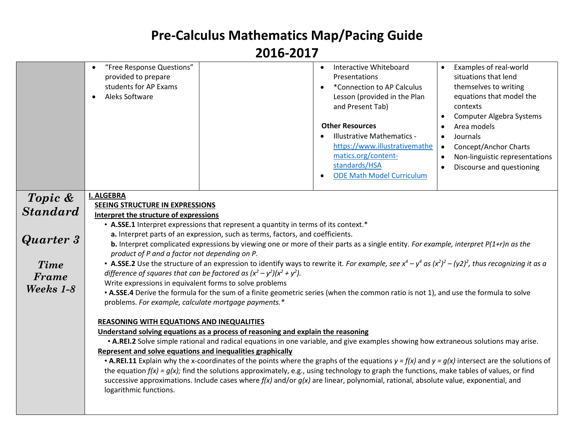|                                                                       | "Free Response Questions"<br>$\bullet$<br>provided to prepare<br>students for AP Exams<br>Aleks Software<br>$\bullet$                                                                                                                                                                                                                                                                                                                                                                                                          | Interactive Whiteboard<br>Presentations<br>*Connection to AP Calculus<br>$\bullet$<br>Lesson (provided in the Plan<br>and Present Tab)<br><b>Other Resources</b><br><b>Illustrative Mathematics -</b><br>https://www.illustrativemathe<br>matics.org/content-<br>standards/HSA<br><b>ODE Math Model Curriculum</b><br>$\bullet$                                                                                                                                                                                                                                                     | Examples of real-world<br>situations that lend<br>themselves to writing<br>equations that model the<br>contexts<br><b>Computer Algebra Systems</b><br>Area models<br>Journals<br>Concept/Anchor Charts<br>$\bullet$<br>Non-linguistic representations<br>Discourse and questioning |
|-----------------------------------------------------------------------|--------------------------------------------------------------------------------------------------------------------------------------------------------------------------------------------------------------------------------------------------------------------------------------------------------------------------------------------------------------------------------------------------------------------------------------------------------------------------------------------------------------------------------|-------------------------------------------------------------------------------------------------------------------------------------------------------------------------------------------------------------------------------------------------------------------------------------------------------------------------------------------------------------------------------------------------------------------------------------------------------------------------------------------------------------------------------------------------------------------------------------|------------------------------------------------------------------------------------------------------------------------------------------------------------------------------------------------------------------------------------------------------------------------------------|
| Topic &<br>Standard<br><b>Quarter 3</b><br>Time<br>Frame<br>Weeks 1-8 | <b>I. ALGEBRA</b><br><b>SEEING STRUCTURE IN EXPRESSIONS</b><br>Interpret the structure of expressions<br>• A.SSE.1 Interpret expressions that represent a quantity in terms of its context.*<br>a. Interpret parts of an expression, such as terms, factors, and coefficients.<br>product of P and a factor not depending on P.<br>difference of squares that can be factored as $(x^2 - y^2)(x^2 + y^2)$ .<br>Write expressions in equivalent forms to solve problems<br>problems. For example, calculate mortgage payments.* | <b>b.</b> Interpret complicated expressions by viewing one or more of their parts as a single entity. For example, interpret $P(1+r)$ as the<br>• A.SSE.2 Use the structure of an expression to identify ways to rewrite it. For example, see $x^4 - y^4$ as $(x^2)^2 - (y^2)^2$ , thus recognizing it as a<br>. A.SSE.4 Derive the formula for the sum of a finite geometric series (when the common ratio is not 1), and use the formula to solve                                                                                                                                 |                                                                                                                                                                                                                                                                                    |
|                                                                       | <b>REASONING WITH EQUATIONS AND INEQUALITIES</b><br>Understand solving equations as a process of reasoning and explain the reasoning<br>Represent and solve equations and inequalities graphically<br>logarithmic functions.                                                                                                                                                                                                                                                                                                   | . A.REI.2 Solve simple rational and radical equations in one variable, and give examples showing how extraneous solutions may arise.<br>• A.REI.11 Explain why the x-coordinates of the points where the graphs of the equations $y = f(x)$ and $y = g(x)$ intersect are the solutions of<br>the equation $f(x) = g(x)$ ; find the solutions approximately, e.g., using technology to graph the functions, make tables of values, or find<br>successive approximations. Include cases where $f(x)$ and/or $g(x)$ are linear, polynomial, rational, absolute value, exponential, and |                                                                                                                                                                                                                                                                                    |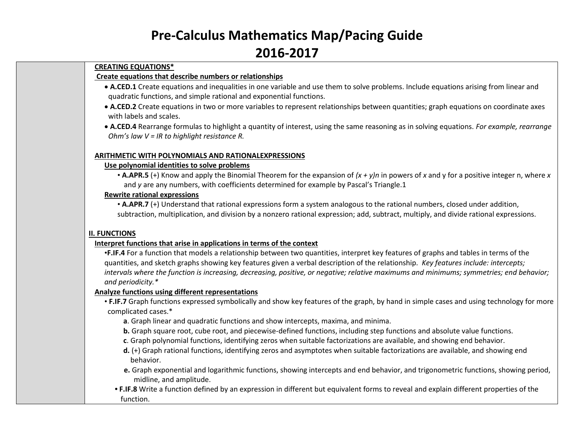#### **CREATING EQUATIONS\***

#### **Create equations that describe numbers or relationships**

- **A.CED.1** Create equations and inequalities in one variable and use them to solve problems. Include equations arising from linear and quadratic functions, and simple rational and exponential functions.
- **A.CED.2** Create equations in two or more variables to represent relationships between quantities; graph equations on coordinate axes with labels and scales.
- **A.CED.4** Rearrange formulas to highlight a quantity of interest, using the same reasoning as in solving equations. *For example, rearrange Ohm's law V = IR to highlight resistance R.*

#### **ARITHMETIC WITH POLYNOMIALS AND RATIONALEXPRESSIONS**

#### **Use polynomial identities to solve problems**

• **A.APR.5** (+) Know and apply the Binomial Theorem for the expansion of *(x + y)n* in powers of *x* and y for a positive integer n, where *x* and *y* are any numbers, with coefficients determined for example by Pascal's Triangle.1

#### **Rewrite rational expressions**

• **A.APR.7** (+) Understand that rational expressions form a system analogous to the rational numbers, closed under addition, subtraction, multiplication, and division by a nonzero rational expression; add, subtract, multiply, and divide rational expressions.

#### **II. FUNCTIONS**

#### **Interpret functions that arise in applications in terms of the context**

•**F.IF.4** For a function that models a relationship between two quantities, interpret key features of graphs and tables in terms of the quantities, and sketch graphs showing key features given a verbal description of the relationship. *Key features include: intercepts; intervals where the function is increasing, decreasing, positive, or negative; relative maximums and minimums; symmetries; end behavior; and periodicity.\**

#### **Analyze functions using different representations**

- **F.IF.7** Graph functions expressed symbolically and show key features of the graph, by hand in simple cases and using technology for more complicated cases.\*
	- **a**. Graph linear and quadratic functions and show intercepts, maxima, and minima.
	- **b.** Graph square root, cube root, and piecewise-defined functions, including step functions and absolute value functions.
	- **c**. Graph polynomial functions, identifying zeros when suitable factorizations are available, and showing end behavior.
	- **d.** (+) Graph rational functions, identifying zeros and asymptotes when suitable factorizations are available, and showing end behavior.
	- **e.** Graph exponential and logarithmic functions, showing intercepts and end behavior, and trigonometric functions, showing period, midline, and amplitude.
	- **• F.IF.8** Write a function defined by an expression in different but equivalent forms to reveal and explain different properties of the function.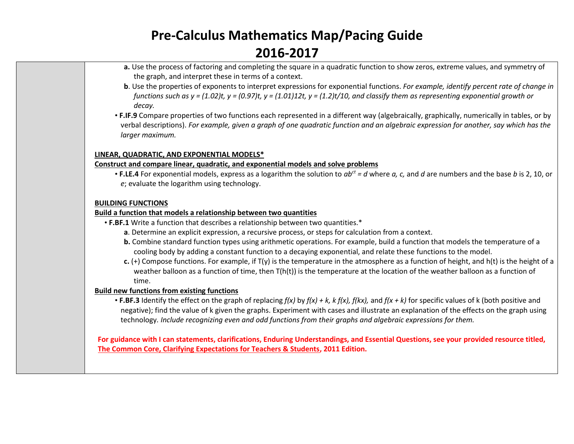- **a.** Use the process of factoring and completing the square in a quadratic function to show zeros, extreme values, and symmetry of the graph, and interpret these in terms of a context.
- **b**. Use the properties of exponents to interpret expressions for exponential functions. *For example, identify percent rate of change in functions such as y = (1.02)t, y = (0.97)t, y = (1.01)12t, y = (1.2)t/10, and classify them as representing exponential growth or decay.*
- **F.IF.9** Compare properties of two functions each represented in a different way (algebraically, graphically, numerically in tables, or by verbal descriptions). *For example, given a graph of one quadratic function and an algebraic expression for another, say which has the larger maximum.*

#### **LINEAR, QUADRATIC, AND EXPONENTIAL MODELS\***

#### **Construct and compare linear, quadratic, and exponential models and solve problems**

• **F.LE.4** For exponential models, express as a logarithm the solution to *abct = d* where *a, c,* and *d* are numbers and the base *b* is 2, 10, or *e*; evaluate the logarithm using technology.

#### **BUILDING FUNCTIONS**

#### **Build a function that models a relationship between two quantities**

- **F.BF.1** Write a function that describes a relationship between two quantities.\*
	- **a**. Determine an explicit expression, a recursive process, or steps for calculation from a context.
	- **b.** Combine standard function types using arithmetic operations. For example, build a function that models the temperature of a cooling body by adding a constant function to a decaying exponential, and relate these functions to the model.
	- **c.** (+) Compose functions. For example, if T(y) is the temperature in the atmosphere as a function of height, and h(t) is the height of a weather balloon as a function of time, then T(h(t)) is the temperature at the location of the weather balloon as a function of time.

#### **Build new functions from existing functions**

• **F.BF.3** Identify the effect on the graph of replacing *f(x)* by *f(x) + k, k f(x), f(kx),* and *f(x + k)* for specific values of k (both positive and negative); find the value of k given the graphs. Experiment with cases and illustrate an explanation of the effects on the graph using technology*. Include recognizing even and odd functions from their graphs and algebraic expressions for them.*

**For guidance with I can statements, clarifications, Enduring Understandings, and Essential Questions, see your provided resource titled, The Common Core, Clarifying Expectations for Teachers & Students, 2011 Edition.**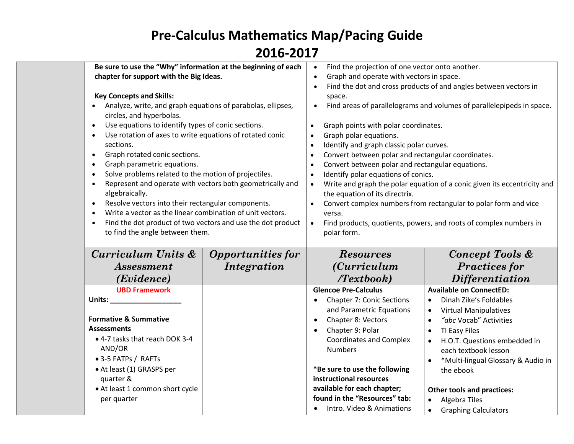|                                 | Be sure to use the "Why" information at the beginning of each            |                          | Find the projection of one vector onto another.<br>$\bullet$                   |  |                                                                          |
|---------------------------------|--------------------------------------------------------------------------|--------------------------|--------------------------------------------------------------------------------|--|--------------------------------------------------------------------------|
|                                 | chapter for support with the Big Ideas.                                  |                          | Graph and operate with vectors in space.                                       |  |                                                                          |
|                                 |                                                                          |                          |                                                                                |  | Find the dot and cross products of and angles between vectors in         |
|                                 | <b>Key Concepts and Skills:</b>                                          |                          | space.                                                                         |  |                                                                          |
|                                 | Analyze, write, and graph equations of parabolas, ellipses,              |                          | $\bullet$                                                                      |  | Find areas of parallelograms and volumes of parallelepipeds in space.    |
|                                 | circles, and hyperbolas.                                                 |                          |                                                                                |  |                                                                          |
|                                 | Use equations to identify types of conic sections.<br>$\bullet$          |                          | Graph points with polar coordinates.<br>$\bullet$                              |  |                                                                          |
|                                 | Use rotation of axes to write equations of rotated conic<br>$\bullet$    |                          | Graph polar equations.<br>$\bullet$                                            |  |                                                                          |
|                                 | sections.                                                                |                          | Identify and graph classic polar curves.<br>$\bullet$                          |  |                                                                          |
|                                 | Graph rotated conic sections.<br>$\bullet$                               |                          | $\bullet$                                                                      |  | Convert between polar and rectangular coordinates.                       |
|                                 | Graph parametric equations.<br>$\bullet$                                 |                          | $\bullet$                                                                      |  | Convert between polar and rectangular equations.                         |
|                                 | Solve problems related to the motion of projectiles.<br>$\bullet$        |                          | Identify polar equations of conics.<br>$\bullet$                               |  |                                                                          |
|                                 | Represent and operate with vectors both geometrically and<br>$\bullet$   |                          | $\bullet$                                                                      |  | Write and graph the polar equation of a conic given its eccentricity and |
|                                 | algebraically.                                                           |                          | the equation of its directrix.                                                 |  |                                                                          |
|                                 | Resolve vectors into their rectangular components.<br>$\bullet$          |                          |                                                                                |  | Convert complex numbers from rectangular to polar form and vice          |
|                                 | Write a vector as the linear combination of unit vectors.<br>$\bullet$   |                          | versa.                                                                         |  |                                                                          |
|                                 | Find the dot product of two vectors and use the dot product<br>$\bullet$ |                          | Find products, quotients, powers, and roots of complex numbers in<br>$\bullet$ |  |                                                                          |
| to find the angle between them. |                                                                          | polar form.              |                                                                                |  |                                                                          |
|                                 |                                                                          |                          |                                                                                |  |                                                                          |
|                                 | Curriculum Units &                                                       | <b>Opportunities for</b> | <b>Resources</b>                                                               |  | Concept Tools &                                                          |
|                                 | <i><b>Assessment</b></i>                                                 | <i>Integration</i>       | <i>(Curriculum</i>                                                             |  | <b>Practices for</b>                                                     |
|                                 | (Evidence)                                                               |                          | (Textbook)                                                                     |  | <i>Differentiation</i>                                                   |
|                                 | <b>UBD Framework</b>                                                     |                          | <b>Glencoe Pre-Calculus</b>                                                    |  | <b>Available on ConnectED:</b>                                           |
|                                 | Units:                                                                   |                          | <b>Chapter 7: Conic Sections</b>                                               |  | Dinah Zike's Foldables                                                   |
|                                 |                                                                          |                          | and Parametric Equations                                                       |  | <b>Virtual Manipulatives</b>                                             |
|                                 | <b>Formative &amp; Summative</b>                                         |                          | Chapter 8: Vectors<br>$\bullet$                                                |  | "abc Vocab" Activities                                                   |
|                                 | <b>Assessments</b>                                                       |                          | Chapter 9: Polar                                                               |  | TI Easy Files                                                            |
|                                 | • 4-7 tasks that reach DOK 3-4                                           |                          | <b>Coordinates and Complex</b>                                                 |  | H.O.T. Questions embedded in<br>$\bullet$                                |
|                                 | AND/OR                                                                   |                          | <b>Numbers</b>                                                                 |  | each textbook lesson                                                     |
|                                 | • 3-5 FATPs / RAFTs                                                      |                          |                                                                                |  | *Multi-lingual Glossary & Audio in                                       |
|                                 | • At least (1) GRASPS per                                                |                          | *Be sure to use the following                                                  |  | the ebook                                                                |
|                                 | quarter &                                                                |                          | instructional resources                                                        |  |                                                                          |
|                                 | • At least 1 common short cycle                                          |                          | available for each chapter;                                                    |  | <b>Other tools and practices:</b>                                        |
|                                 |                                                                          |                          |                                                                                |  |                                                                          |
|                                 | per quarter                                                              |                          | found in the "Resources" tab:                                                  |  | Algebra Tiles                                                            |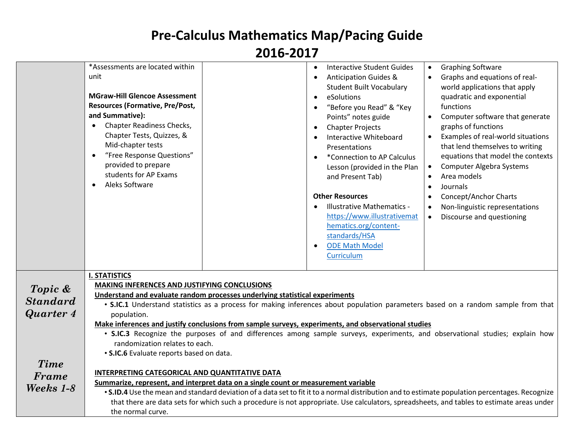|                                                                              | *Assessments are located within<br>unit<br><b>MGraw-Hill Glencoe Assessment</b><br><b>Resources (Formative, Pre/Post,</b><br>and Summative):<br><b>Chapter Readiness Checks,</b><br>$\bullet$<br>Chapter Tests, Quizzes, &<br>Mid-chapter tests<br>"Free Response Questions"<br>provided to prepare<br>students for AP Exams<br>Aleks Software                                                                                                                                                                                                                                                                                                                                                                                                                                                                                                                                                                                | <b>Interactive Student Guides</b><br>$\bullet$<br><b>Anticipation Guides &amp;</b><br>$\bullet$<br><b>Student Built Vocabulary</b><br>eSolutions<br>$\bullet$<br>"Before you Read" & "Key<br>$\bullet$<br>Points" notes guide<br><b>Chapter Projects</b><br>$\bullet$<br>Interactive Whiteboard<br>Presentations<br>*Connection to AP Calculus<br>$\bullet$<br>Lesson (provided in the Plan<br>and Present Tab)<br><b>Other Resources</b><br><b>Illustrative Mathematics -</b><br>https://www.illustrativemat<br>hematics.org/content-<br>standards/HSA<br><b>ODE Math Model</b><br>$\bullet$<br>Curriculum | <b>Graphing Software</b><br>$\bullet$<br>Graphs and equations of real-<br>$\bullet$<br>world applications that apply<br>quadratic and exponential<br>functions<br>Computer software that generate<br>graphs of functions<br>Examples of real-world situations<br>that lend themselves to writing<br>equations that model the contexts<br>Computer Algebra Systems<br>$\bullet$<br>Area models<br>$\bullet$<br>Journals<br>$\bullet$<br>Concept/Anchor Charts<br>$\bullet$<br>Non-linguistic representations<br>$\bullet$<br>Discourse and questioning<br>$\bullet$ |  |
|------------------------------------------------------------------------------|-------------------------------------------------------------------------------------------------------------------------------------------------------------------------------------------------------------------------------------------------------------------------------------------------------------------------------------------------------------------------------------------------------------------------------------------------------------------------------------------------------------------------------------------------------------------------------------------------------------------------------------------------------------------------------------------------------------------------------------------------------------------------------------------------------------------------------------------------------------------------------------------------------------------------------|-------------------------------------------------------------------------------------------------------------------------------------------------------------------------------------------------------------------------------------------------------------------------------------------------------------------------------------------------------------------------------------------------------------------------------------------------------------------------------------------------------------------------------------------------------------------------------------------------------------|--------------------------------------------------------------------------------------------------------------------------------------------------------------------------------------------------------------------------------------------------------------------------------------------------------------------------------------------------------------------------------------------------------------------------------------------------------------------------------------------------------------------------------------------------------------------|--|
| Topic &<br><b>Standard</b><br>Quarter 4<br><b>Time</b><br>Frame<br>Weeks 1-8 | <b>I. STATISTICS</b><br><b>MAKING INFERENCES AND JUSTIFYING CONCLUSIONS</b><br>Understand and evaluate random processes underlying statistical experiments<br>. S.IC.1 Understand statistics as a process for making inferences about population parameters based on a random sample from that<br>population.<br>Make inferences and justify conclusions from sample surveys, experiments, and observational studies<br>• S.IC.3 Recognize the purposes of and differences among sample surveys, experiments, and observational studies; explain how<br>randomization relates to each.<br>· S.IC.6 Evaluate reports based on data.<br>INTERPRETING CATEGORICAL AND QUANTITATIVE DATA<br>Summarize, represent, and interpret data on a single count or measurement variable<br>. S.ID.4 Use the mean and standard deviation of a data set to fit it to a normal distribution and to estimate population percentages. Recognize |                                                                                                                                                                                                                                                                                                                                                                                                                                                                                                                                                                                                             |                                                                                                                                                                                                                                                                                                                                                                                                                                                                                                                                                                    |  |
|                                                                              | that there are data sets for which such a procedure is not appropriate. Use calculators, spreadsheets, and tables to estimate areas under<br>the normal curve.                                                                                                                                                                                                                                                                                                                                                                                                                                                                                                                                                                                                                                                                                                                                                                |                                                                                                                                                                                                                                                                                                                                                                                                                                                                                                                                                                                                             |                                                                                                                                                                                                                                                                                                                                                                                                                                                                                                                                                                    |  |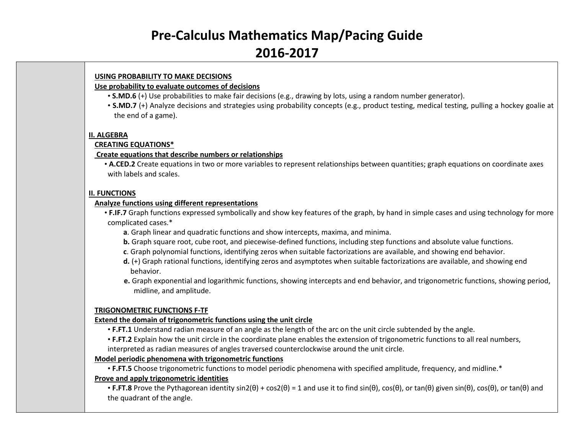#### **USING PROBABILITY TO MAKE DECISIONS**

#### **Use probability to evaluate outcomes of decisions**

- **S.MD.6** (+) Use probabilities to make fair decisions (e.g., drawing by lots, using a random number generator).
- **S.MD.7** (+) Analyze decisions and strategies using probability concepts (e.g., product testing, medical testing, pulling a hockey goalie at the end of a game).

#### **II. ALGEBRA**

#### **CREATING EQUATIONS\***

#### **Create equations that describe numbers or relationships**

• **A.CED.2** Create equations in two or more variables to represent relationships between quantities; graph equations on coordinate axes with labels and scales.

#### **II. FUNCTIONS**

#### **Analyze functions using different representations**

- **F.IF.7** Graph functions expressed symbolically and show key features of the graph, by hand in simple cases and using technology for more complicated cases.\*
	- **a**. Graph linear and quadratic functions and show intercepts, maxima, and minima.
	- **b.** Graph square root, cube root, and piecewise-defined functions, including step functions and absolute value functions.
	- **c**. Graph polynomial functions, identifying zeros when suitable factorizations are available, and showing end behavior.
	- **d.** (+) Graph rational functions, identifying zeros and asymptotes when suitable factorizations are available, and showing end behavior.
	- **e.** Graph exponential and logarithmic functions, showing intercepts and end behavior, and trigonometric functions, showing period, midline, and amplitude.

#### **TRIGONOMETRIC FUNCTIONS F-TF**

#### **Extend the domain of trigonometric functions using the unit circle**

• **F.FT.1** Understand radian measure of an angle as the length of the arc on the unit circle subtended by the angle.

• **F.FT.2** Explain how the unit circle in the coordinate plane enables the extension of trigonometric functions to all real numbers, interpreted as radian measures of angles traversed counterclockwise around the unit circle.

#### **Model periodic phenomena with trigonometric functions**

• **F.FT.5** Choose trigonometric functions to model periodic phenomena with specified amplitude, frequency, and midline.\*

#### **Prove and apply trigonometric identities**

• **F.FT.8** Prove the Pythagorean identity sin2(θ) + cos2(θ) = 1 and use it to find sin(θ), cos(θ), or tan(θ) given sin(θ), cos(θ), or tan(θ) and the quadrant of the angle.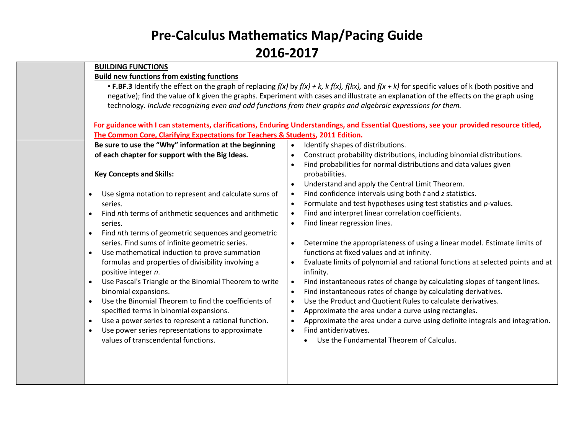| <b>BUILDING FUNCTIONS</b>                                                       |                                                                                                                                                               |  |  |  |
|---------------------------------------------------------------------------------|---------------------------------------------------------------------------------------------------------------------------------------------------------------|--|--|--|
|                                                                                 | <b>Build new functions from existing functions</b>                                                                                                            |  |  |  |
|                                                                                 | • F.BF.3 Identify the effect on the graph of replacing $f(x)$ by $f(x) + k$ , k $f(x)$ , $f(kx)$ , and $f(x + k)$ for specific values of k (both positive and |  |  |  |
|                                                                                 | negative); find the value of k given the graphs. Experiment with cases and illustrate an explanation of the effects on the graph using                        |  |  |  |
|                                                                                 | technology. Include recognizing even and odd functions from their graphs and algebraic expressions for them.                                                  |  |  |  |
|                                                                                 |                                                                                                                                                               |  |  |  |
|                                                                                 | For guidance with I can statements, clarifications, Enduring Understandings, and Essential Questions, see your provided resource titled,                      |  |  |  |
| The Common Core, Clarifying Expectations for Teachers & Students, 2011 Edition. |                                                                                                                                                               |  |  |  |
| Be sure to use the "Why" information at the beginning                           | Identify shapes of distributions.<br>$\bullet$                                                                                                                |  |  |  |
| of each chapter for support with the Big Ideas.                                 | Construct probability distributions, including binomial distributions.<br>$\bullet$                                                                           |  |  |  |
|                                                                                 | Find probabilities for normal distributions and data values given                                                                                             |  |  |  |
| <b>Key Concepts and Skills:</b>                                                 | probabilities.                                                                                                                                                |  |  |  |
|                                                                                 | Understand and apply the Central Limit Theorem.                                                                                                               |  |  |  |
| Use sigma notation to represent and calculate sums of<br>$\bullet$              | Find confidence intervals using both t and z statistics.<br>$\bullet$                                                                                         |  |  |  |
| series.                                                                         | Formulate and test hypotheses using test statistics and $p$ -values.<br>$\bullet$<br>Find and interpret linear correlation coefficients.                      |  |  |  |
| Find nth terms of arithmetic sequences and arithmetic<br>$\bullet$              | Find linear regression lines.<br>$\bullet$                                                                                                                    |  |  |  |
| series.<br>Find nth terms of geometric sequences and geometric                  |                                                                                                                                                               |  |  |  |
| $\bullet$<br>series. Find sums of infinite geometric series.                    | Determine the appropriateness of using a linear model. Estimate limits of<br>$\bullet$                                                                        |  |  |  |
| Use mathematical induction to prove summation<br>$\bullet$                      | functions at fixed values and at infinity.                                                                                                                    |  |  |  |
| formulas and properties of divisibility involving a                             | Evaluate limits of polynomial and rational functions at selected points and at<br>$\bullet$                                                                   |  |  |  |
| positive integer n.                                                             | infinity.                                                                                                                                                     |  |  |  |
| Use Pascal's Triangle or the Binomial Theorem to write<br>$\bullet$             | Find instantaneous rates of change by calculating slopes of tangent lines.<br>$\bullet$                                                                       |  |  |  |
| binomial expansions.                                                            | Find instantaneous rates of change by calculating derivatives.<br>$\bullet$                                                                                   |  |  |  |
| Use the Binomial Theorem to find the coefficients of<br>$\bullet$               | Use the Product and Quotient Rules to calculate derivatives.<br>$\bullet$                                                                                     |  |  |  |
| specified terms in binomial expansions.                                         | Approximate the area under a curve using rectangles.<br>$\bullet$                                                                                             |  |  |  |
| Use a power series to represent a rational function.<br>$\bullet$               | Approximate the area under a curve using definite integrals and integration.<br>$\bullet$                                                                     |  |  |  |
| Use power series representations to approximate<br>$\bullet$                    | Find antiderivatives.<br>$\bullet$                                                                                                                            |  |  |  |
| values of transcendental functions.                                             | Use the Fundamental Theorem of Calculus.                                                                                                                      |  |  |  |
|                                                                                 |                                                                                                                                                               |  |  |  |
|                                                                                 |                                                                                                                                                               |  |  |  |
|                                                                                 |                                                                                                                                                               |  |  |  |
|                                                                                 |                                                                                                                                                               |  |  |  |